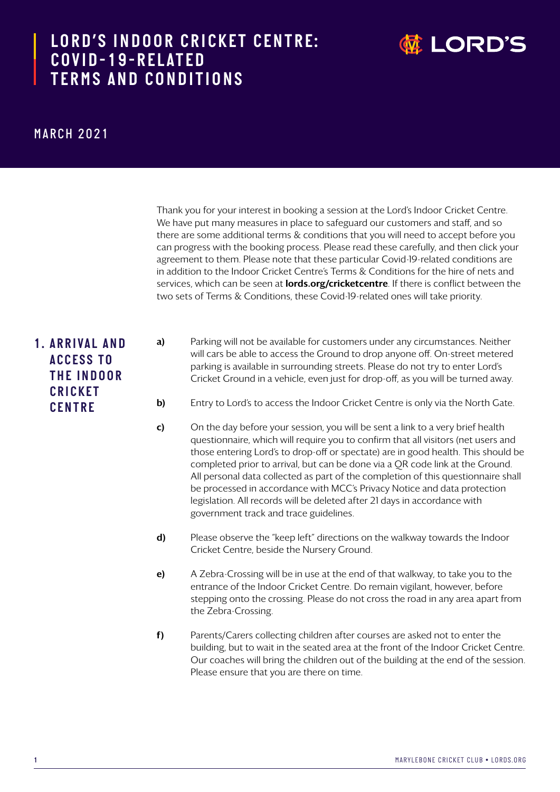## LORD'S INDOOR CRICKET CENTRE: **the ordinal of the ordinal** *COVID-19-RELATED TERMS AND CONDITIONS*



## *MARCH 2021*

Thank you for your interest in booking a session at the Lord's Indoor Cricket Centre. We have put many measures in place to safeguard our customers and staff, and so there are some additional terms & conditions that you will need to accept before you can progress with the booking process. Please read these carefully, and then click your agreement to them. Please note that these particular Covid-19-related conditions are in addition to the Indoor Cricket Centre's Terms & Conditions for the hire of nets and services, which can be seen at **lords.org/cricketcentre**. If there is conflict between the two sets of Terms & Conditions, these Covid-19-related ones will take priority.

## *1. A R R I VA L A N D A C C E S S T O T H E I N D O O R C R I C K E T CENTRE*

- a) Parking will not be available for customers under any circumstances. Neither will cars be able to access the Ground to drop anyone off. On-street metered parking is available in surrounding streets. Please do not try to enter Lord's Cricket Ground in a vehicle, even just for drop-off, as you will be turned away.
- b) Entry to Lord's to access the Indoor Cricket Centre is only via the North Gate.
- c) On the day before your session, you will be sent a link to a very brief health questionnaire, which will require you to confirm that all visitors (net users and those entering Lord's to drop-off or spectate) are in good health. This should be completed prior to arrival, but can be done via a QR code link at the Ground. All personal data collected as part of the completion of this questionnaire shall be processed in accordance with MCC's Privacy Notice and data protection legislation. All records will be deleted after 21 days in accordance with government track and trace guidelines.
- d) Please observe the "keep left" directions on the walkway towards the Indoor Cricket Centre, beside the Nursery Ground.
- e) A Zebra-Crossing will be in use at the end of that walkway, to take you to the entrance of the Indoor Cricket Centre. Do remain vigilant, however, before stepping onto the crossing. Please do not cross the road in any area apart from the Zebra-Crossing.
- f) Parents/Carers collecting children after courses are asked not to enter the building, but to wait in the seated area at the front of the Indoor Cricket Centre. Our coaches will bring the children out of the building at the end of the session. Please ensure that you are there on time.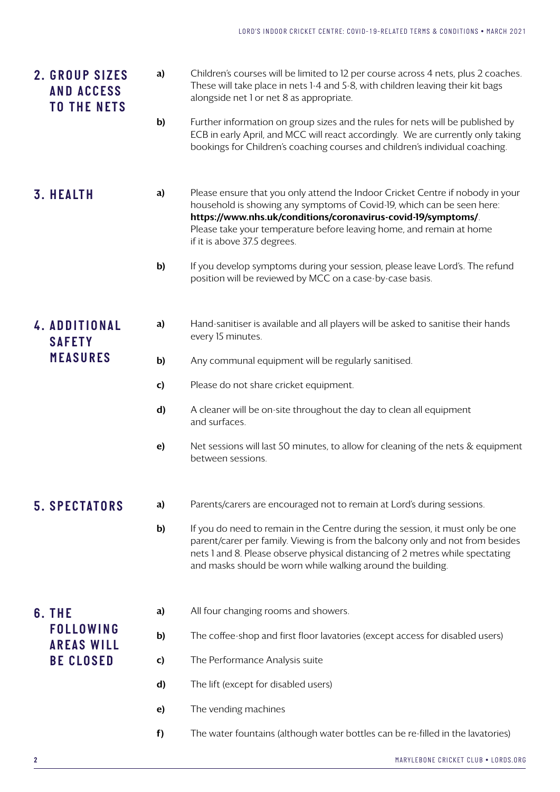| 2. GROUP SIZES<br><b>AND ACCESS</b><br><b>TO THE NETS</b> | a) | Children's courses will be limited to 12 per course across 4 nets, plus 2 coaches.<br>These will take place in nets 1-4 and 5-8, with children leaving their kit bags<br>alongside net 1 or net 8 as appropriate.                                                                                                                 |
|-----------------------------------------------------------|----|-----------------------------------------------------------------------------------------------------------------------------------------------------------------------------------------------------------------------------------------------------------------------------------------------------------------------------------|
|                                                           | b) | Further information on group sizes and the rules for nets will be published by<br>ECB in early April, and MCC will react accordingly. We are currently only taking<br>bookings for Children's coaching courses and children's individual coaching.                                                                                |
| <b>3. HEALTH</b>                                          | a) | Please ensure that you only attend the Indoor Cricket Centre if nobody in your<br>household is showing any symptoms of Covid-19, which can be seen here:<br>https://www.nhs.uk/conditions/coronavirus-covid-19/symptoms/.<br>Please take your temperature before leaving home, and remain at home<br>if it is above 37.5 degrees. |
|                                                           | b) | If you develop symptoms during your session, please leave Lord's. The refund<br>position will be reviewed by MCC on a case-by-case basis.                                                                                                                                                                                         |
| 4. ADDITIONAL<br><b>SAFETY</b>                            | a) | Hand-sanitiser is available and all players will be asked to sanitise their hands<br>every 15 minutes.                                                                                                                                                                                                                            |
| <b>MEASURES</b>                                           | b) | Any communal equipment will be regularly sanitised.                                                                                                                                                                                                                                                                               |
|                                                           | c) | Please do not share cricket equipment.                                                                                                                                                                                                                                                                                            |
|                                                           | d) | A cleaner will be on-site throughout the day to clean all equipment<br>and surfaces.                                                                                                                                                                                                                                              |
|                                                           | e) | Net sessions will last 50 minutes, to allow for cleaning of the nets & equipment<br>between sessions.                                                                                                                                                                                                                             |
| <b>5. SPECTATORS</b>                                      | a) | Parents/carers are encouraged not to remain at Lord's during sessions.                                                                                                                                                                                                                                                            |
|                                                           | b) | If you do need to remain in the Centre during the session, it must only be one<br>parent/carer per family. Viewing is from the balcony only and not from besides<br>nets 1 and 8. Please observe physical distancing of 2 metres while spectating<br>and masks should be worn while walking around the building.                  |
| 6. THE                                                    | a) | All four changing rooms and showers.                                                                                                                                                                                                                                                                                              |
| <b>FOLLOWING</b><br><b>AREAS WILL</b><br><b>BE CLOSED</b> | b) | The coffee-shop and first floor lavatories (except access for disabled users)                                                                                                                                                                                                                                                     |
|                                                           | C) | The Performance Analysis suite                                                                                                                                                                                                                                                                                                    |
|                                                           | d) | The lift (except for disabled users)                                                                                                                                                                                                                                                                                              |
|                                                           | e) | The vending machines                                                                                                                                                                                                                                                                                                              |
|                                                           | f) | The water fountains (although water bottles can be re-filled in the lavatories)                                                                                                                                                                                                                                                   |